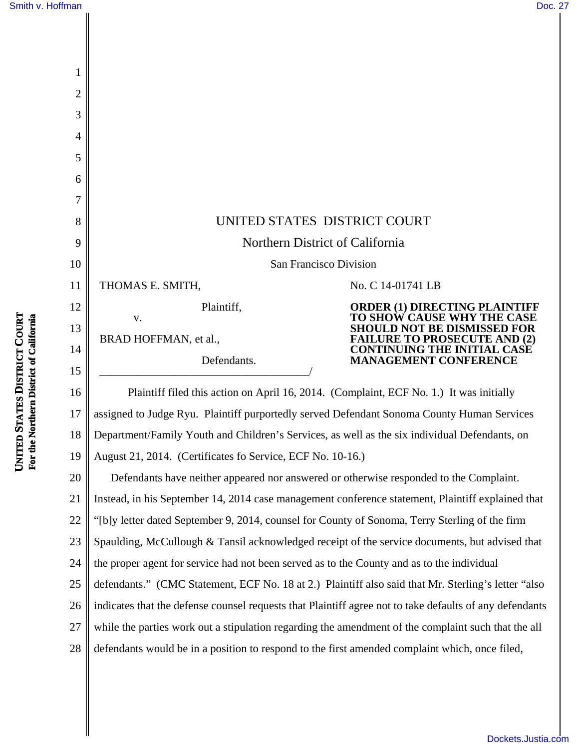| 1              |                                                                                            |                                                                    |
|----------------|--------------------------------------------------------------------------------------------|--------------------------------------------------------------------|
| $\overline{2}$ |                                                                                            |                                                                    |
| 3              |                                                                                            |                                                                    |
| 4              |                                                                                            |                                                                    |
| 5              |                                                                                            |                                                                    |
| 6              |                                                                                            |                                                                    |
| 7              |                                                                                            |                                                                    |
| 8              | UNITED STATES DISTRICT COURT                                                               |                                                                    |
| 9              | Northern District of California                                                            |                                                                    |
| 10             | San Francisco Division                                                                     |                                                                    |
| 11             | THOMAS E. SMITH,                                                                           | No. C 14-01741 LB                                                  |
| 12             | Plaintiff,<br>V.                                                                           | <b>ORDER (1) DIRECTING PLAI</b><br><b>TO SHOW CAUSE WHY THE</b>    |
| 13             | BRAD HOFFMAN, et al.,                                                                      | SHOULD NOT BE DISMISSED FOR<br><b>FAILURE TO PROSECUTE AND (2)</b> |
| 14             | Defendants.                                                                                | <b>CONTINUING THE INITIAL CASE</b><br><b>MANAGEMENT CONFERENCE</b> |
| 15             |                                                                                            |                                                                    |
| 16             | Plaintiff filed this action on April 16, 2014. (Complaint, ECF No. 1.) It was initially    |                                                                    |
| 17             | assigned to Judge Ryu. Plaintiff purportedly served Defendant Sonoma County Human Services |                                                                    |

18 Department/Family Youth and Children's Services, as well as the six individual Defendants, on

19 August 21, 2014. (Certificates fo Service, ECF No. 10-16.)

20 21 22 23 24 25 26 27 28 Defendants have neither appeared nor answered or otherwise responded to the Complaint. Instead, in his September 14, 2014 case management conference statement, Plaintiff explained that "[b]y letter dated September 9, 2014, counsel for County of Sonoma, Terry Sterling of the firm Spaulding, McCullough & Tansil acknowledged receipt of the service documents, but advised that the proper agent for service had not been served as to the County and as to the individual defendants." (CMC Statement, ECF No. 18 at 2.) Plaintiff also said that Mr. Sterling's letter "also indicates that the defense counsel requests that Plaintiff agree not to take defaults of any defendants while the parties work out a stipulation regarding the amendment of the complaint such that the all defendants would be in a position to respond to the first amended complaint which, once filed,